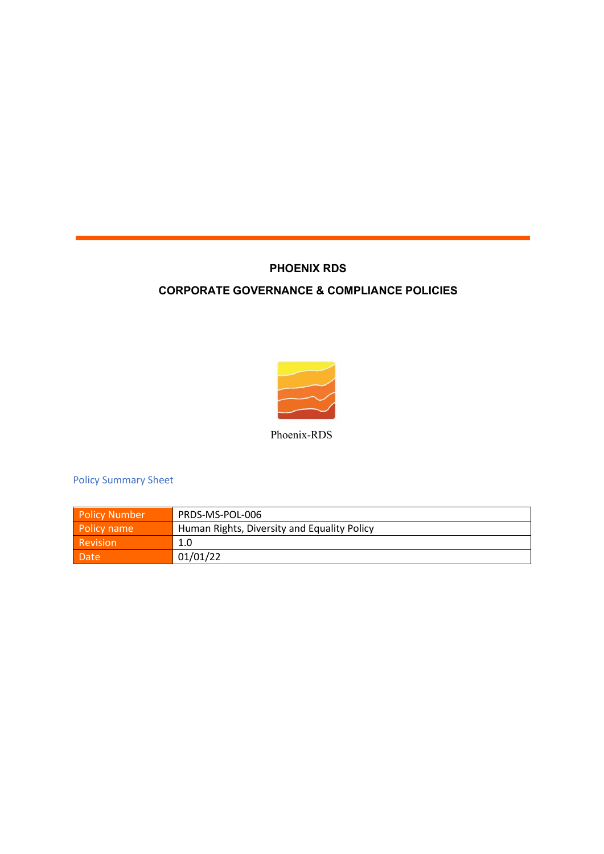## **PHOENIX RDS**

## **CORPORATE GOVERNANCE & COMPLIANCE POLICIES**



Phoenix-RDS

Policy Summary Sheet

| <b>Policy Number</b> | PRDS-MS-POL-006                             |  |
|----------------------|---------------------------------------------|--|
| Policy name          | Human Rights, Diversity and Equality Policy |  |
| Revision             | 1.0                                         |  |
| Date                 | 01/01/22                                    |  |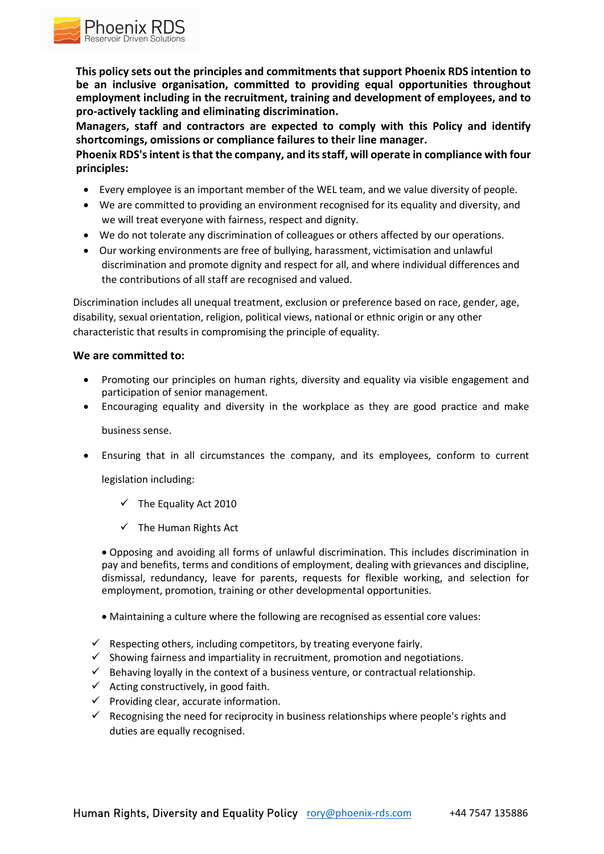**This policy sets out the principles and commitments that support Phoenix RDS intention to be an inclusive organisation, committed to providing equal opportunities throughout employment including in the recruitment, training and development of employees, and to pro-actively tackling and eliminating discrimination.**

**Managers, staff and contractors are expected to comply with this Policy and identify shortcomings, omissions or compliance failures to their line manager.**

**Phoenix RDS's intent is that the company, and its staff, will operate in compliance with four principles:**

- Every employee is an important member of the WEL team, and we value diversity of people.
- We are committed to providing an environment recognised for its equality and diversity, and we will treat everyone with fairness, respect and dignity.
- We do not tolerate any discrimination of colleagues or others affected by our operations.
- Our working environments are free of bullying, harassment, victimisation and unlawful discrimination and promote dignity and respect for all, and where individual differences and the contributions of all staff are recognised and valued.

Discrimination includes all unequal treatment, exclusion or preference based on race, gender, age, disability, sexual orientation, religion, political views, national or ethnic origin or any other characteristic that results in compromising the principle of equality.

## **We are committed to:**

Phoenix RDS

- Promoting our principles on human rights, diversity and equality via visible engagement and participation of senior management.
- Encouraging equality and diversity in the workplace as they are good practice and make

business sense.

Ensuring that in all circumstances the company, and its employees, conform to current

legislation including:

- $\checkmark$  The Equality Act 2010
- $\checkmark$  The Human Rights Act

 Opposing and avoiding all forms of unlawful discrimination. This includes discrimination in pay and benefits, terms and conditions of employment, dealing with grievances and discipline, dismissal, redundancy, leave for parents, requests for flexible working, and selection for employment, promotion, training or other developmental opportunities.

- Maintaining a culture where the following are recognised as essential core values:
- $\checkmark$  Respecting others, including competitors, by treating everyone fairly.
- $\checkmark$  Showing fairness and impartiality in recruitment, promotion and negotiations.
- $\checkmark$  Behaving loyally in the context of a business venture, or contractual relationship.
- $\checkmark$  Acting constructively, in good faith.
- $\checkmark$  Providing clear, accurate information.
- $\checkmark$  Recognising the need for reciprocity in business relationships where people's rights and duties are equally recognised.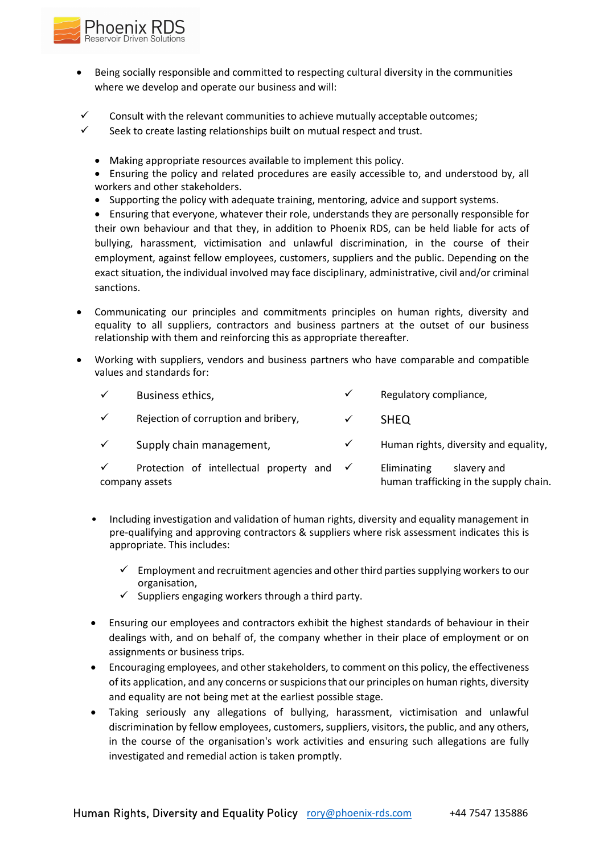

- Being socially responsible and committed to respecting cultural diversity in the communities where we develop and operate our business and will:
- Consult with the relevant communities to achieve mutually acceptable outcomes;
- $\checkmark$  Seek to create lasting relationships built on mutual respect and trust.
	- Making appropriate resources available to implement this policy.
	- Ensuring the policy and related procedures are easily accessible to, and understood by, all workers and other stakeholders.
	- Supporting the policy with adequate training, mentoring, advice and support systems.
	- Ensuring that everyone, whatever their role, understands they are personally responsible for their own behaviour and that they, in addition to Phoenix RDS, can be held liable for acts of bullying, harassment, victimisation and unlawful discrimination, in the course of their employment, against fellow employees, customers, suppliers and the public. Depending on the exact situation, the individual involved may face disciplinary, administrative, civil and/or criminal sanctions.
- Communicating our principles and commitments principles on human rights, diversity and equality to all suppliers, contractors and business partners at the outset of our business relationship with them and reinforcing this as appropriate thereafter.
- Working with suppliers, vendors and business partners who have comparable and compatible values and standards for:

| Business ethics,                                                       | $\checkmark$ | Regulatory compliance,                                               |
|------------------------------------------------------------------------|--------------|----------------------------------------------------------------------|
| Rejection of corruption and bribery,                                   |              | <b>SHEO</b>                                                          |
| Supply chain management,                                               | $\checkmark$ | Human rights, diversity and equality,                                |
| Protection of intellectual property and $\checkmark$<br>company assets |              | Eliminating<br>slavery and<br>human trafficking in the supply chain. |

- Including investigation and validation of human rights, diversity and equality management in pre-qualifying and approving contractors & suppliers where risk assessment indicates this is appropriate. This includes:
	- $\checkmark$  Employment and recruitment agencies and other third parties supplying workers to our organisation,
	- $\checkmark$  Suppliers engaging workers through a third party.
- Ensuring our employees and contractors exhibit the highest standards of behaviour in their dealings with, and on behalf of, the company whether in their place of employment or on assignments or business trips.
- Encouraging employees, and other stakeholders, to comment on this policy, the effectiveness of its application, and any concerns or suspicions that our principles on human rights, diversity and equality are not being met at the earliest possible stage.
- Taking seriously any allegations of bullying, harassment, victimisation and unlawful discrimination by fellow employees, customers, suppliers, visitors, the public, and any others, in the course of the organisation's work activities and ensuring such allegations are fully investigated and remedial action is taken promptly.